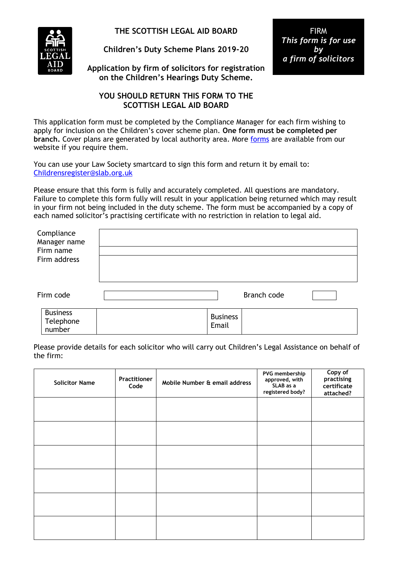

**THE SCOTTISH LEGAL AID BOARD**

**Children's Duty Scheme Plans 2019-20**

**Application by firm of solicitors for registration on the Children's Hearings Duty Scheme.**

## **YOU SHOULD RETURN THIS FORM TO THE SCOTTISH LEGAL AID BOARD**

This application form must be completed by the Compliance Manager for each firm wishing to apply for inclusion on the Children's cover scheme plan. **One form must be completed per**  branch. Cover plans are generated by local authority area. More [forms](https://www.slab.org.uk/common/documents/profession/Childrens_duty_2019-20/Childrens_Duty_Scheme_Application_Form_2019-20_-_fillable_fields.pdf) are available from our website if you require them.

You can use your Law Society smartcard to sign this form and return it by email to: [Childrensregister@slab.org.uk](mailto:Childrensregister@slab.org.uk)

Please ensure that this form is fully and accurately completed. All questions are mandatory. Failure to complete this form fully will result in your application being returned which may result in your firm not being included in the duty scheme. The form must be accompanied by a copy of each named solicitor's practising certificate with no restriction in relation to legal aid.

| Compliance<br>Manager name<br>Firm name<br>Firm address |                          |             |  |
|---------------------------------------------------------|--------------------------|-------------|--|
| Firm code                                               |                          | Branch code |  |
| <b>Business</b><br>Telephone<br>number                  | <b>Business</b><br>Email |             |  |

Please provide details for each solicitor who will carry out Children's Legal Assistance on behalf of the firm:

| <b>Solicitor Name</b> | <b>Practitioner</b><br>Code | Mobile Number & email address | PVG membership<br>approved, with<br>SLAB as a<br>registered body? | Copy of<br>practising<br>certificate<br>attached? |
|-----------------------|-----------------------------|-------------------------------|-------------------------------------------------------------------|---------------------------------------------------|
|                       |                             |                               |                                                                   |                                                   |
|                       |                             |                               |                                                                   |                                                   |
|                       |                             |                               |                                                                   |                                                   |
|                       |                             |                               |                                                                   |                                                   |
|                       |                             |                               |                                                                   |                                                   |
|                       |                             |                               |                                                                   |                                                   |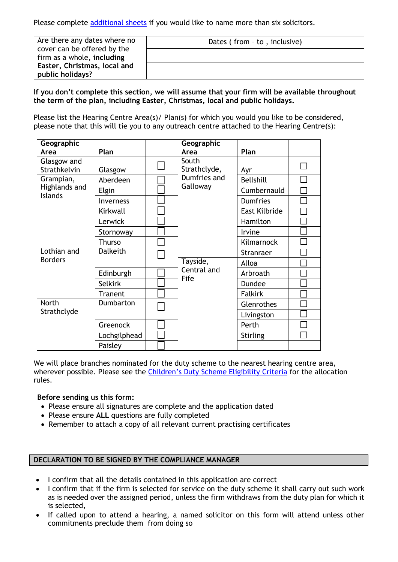Please complete [additional sheets](https://www.slab.org.uk/common/documents/profession/Childrens_duty_2019-20/Additional_solicitors_Childrens_Duty_Scheme_-_fillable_fields.pdf) if you would like to name more than six solicitors.

| Are there any dates where no<br>cover can be offered by the | Dates (from - to, inclusive) |  |  |
|-------------------------------------------------------------|------------------------------|--|--|
| firm as a whole, including                                  |                              |  |  |
| Easter, Christmas, local and<br>public holidays?            |                              |  |  |

**If you don't complete this section, we will assume that your firm will be available throughout the term of the plan, including Easter, Christmas, local and public holidays.**

Please list the Hearing Centre Area(s)/ Plan(s) for which you would you like to be considered, please note that this will tie you to any outreach centre attached to the Hearing Centre(s):

| Geographic                                   |                 |  | Geographic                               |                  |  |
|----------------------------------------------|-----------------|--|------------------------------------------|------------------|--|
| Area                                         | Plan            |  | Area                                     | Plan             |  |
| Glasgow and                                  |                 |  | South                                    |                  |  |
| Strathkelvin                                 | Glasgow         |  | Strathclyde,<br>Dumfries and<br>Galloway | Ayr              |  |
| Grampian,<br>Highlands and<br><b>Islands</b> | Aberdeen        |  |                                          | <b>Bellshill</b> |  |
|                                              | Elgin           |  |                                          | Cumbernauld      |  |
|                                              | Inverness       |  |                                          | <b>Dumfries</b>  |  |
|                                              | Kirkwall        |  |                                          | East Kilbride    |  |
|                                              | Lerwick         |  |                                          | Hamilton         |  |
|                                              | Stornoway       |  |                                          | Irvine           |  |
|                                              | <b>Thurso</b>   |  |                                          | Kilmarnock       |  |
| Lothian and<br><b>Borders</b>                | <b>Dalkeith</b> |  |                                          | Stranraer        |  |
|                                              |                 |  | Tayside,                                 | Alloa            |  |
|                                              | Edinburgh       |  | Central and<br>Fife                      | Arbroath         |  |
|                                              | <b>Selkirk</b>  |  |                                          | <b>Dundee</b>    |  |
|                                              | Tranent         |  |                                          | <b>Falkirk</b>   |  |
| <b>North</b><br>Strathclyde                  | Dumbarton       |  |                                          | Glenrothes       |  |
|                                              |                 |  |                                          | Livingston       |  |
|                                              | Greenock        |  |                                          | Perth            |  |
|                                              | Lochgilphead    |  |                                          | <b>Stirling</b>  |  |
|                                              | Paisley         |  |                                          |                  |  |

We will place branches nominated for the duty scheme to the nearest hearing centre area, wherever possible. Please see the Children'[s Duty Scheme Eligibility Criteria](https://www.slab.org.uk/export/sites/default/common/documents/profession/practitioner_info_guides/ChildrensRegisterandDuty/CHILDREN_DUTY_SCHEME_ELIGIBILITY_CRITERIA.pdf) for the allocation rules.

## **Before sending us this form:**

- Please ensure all signatures are complete and the application dated
- Please ensure **ALL** questions are fully completed
- Remember to attach a copy of all relevant current practising certificates

## **DECLARATION TO BE SIGNED BY THE COMPLIANCE MANAGER**

- I confirm that all the details contained in this application are correct
- I confirm that if the firm is selected for service on the duty scheme it shall carry out such work as is needed over the assigned period, unless the firm withdraws from the duty plan for which it is selected,
- If called upon to attend a hearing, a named solicitor on this form will attend unless other commitments preclude them from doing so